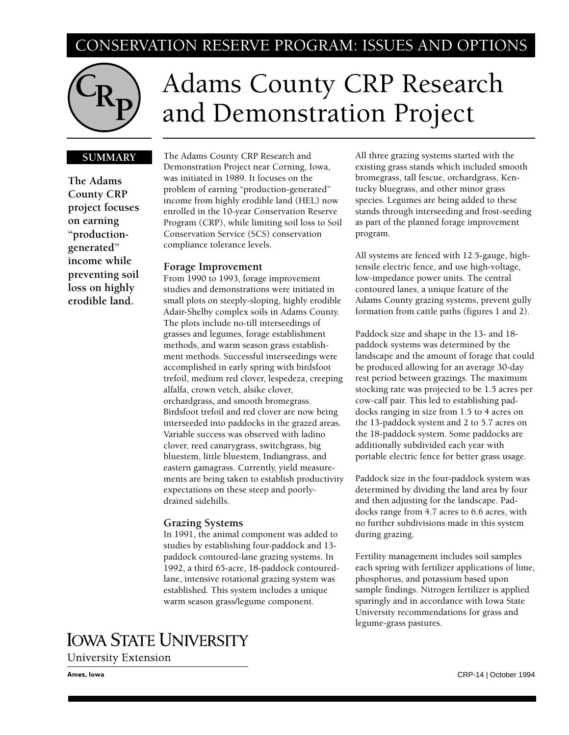# CONSERVATION RESERVE PROGRAM: ISSUES AND OPTIONS



# Adams County CRP Research and Demonstration Project

# **SUMMARY**

**The Adams County CRP project focuses on earning "productiongenerated" income while preventing soil loss on highly erodible land.**

The Adams County CRP Research and Demonstration Project near Corning, Iowa, was initiated in 1989. It focuses on the problem of earning "production-generated" income from highly erodible land (HEL) now enrolled in the 10-year Conservation Reserve Program (CRP), while limiting soil loss to Soil Conservation Service (SCS) conservation compliance tolerance levels.

#### **Forage Improvement**

From 1990 to 1993, forage improvement studies and demonstrations were initiated in small plots on steeply-sloping, highly erodible Adair-Shelby complex soils in Adams County. The plots include no-till interseedings of grasses and legumes, forage establishment methods, and warm season grass establishment methods. Successful interseedings were accomplished in early spring with birdsfoot trefoil, medium red clover, lespedeza, creeping alfalfa, crown vetch, alsike clover, orchardgrass, and smooth bromegrass. Birdsfoot trefoil and red clover are now being interseeded into paddocks in the grazed areas. Variable success was observed with ladino clover, reed canarygrass, switchgrass, big bluestem, little bluestem, Indiangrass, and eastern gamagrass. Currently, yield measurements are being taken to establish productivity expectations on these steep and poorlydrained sidehills.

#### **Grazing Systems**

In 1991, the animal component was added to studies by establishing four-paddock and 13 paddock contoured-lane grazing systems. In 1992, a third 65-acre, 18-paddock contouredlane, intensive rotational grazing system was established. This system includes a unique warm season grass/legume component.

**IOWA STATE UNIVERSITY** 

**University Extension** 

Ames, Iowa

All three grazing systems started with the existing grass stands which included smooth bromegrass, tall fescue, orchardgrass, Kentucky bluegrass, and other minor grass species. Legumes are being added to these stands through interseeding and frost-seeding as part of the planned forage improvement program.

All systems are fenced with 12.5-gauge, hightensile electric fence, and use high-voltage, low-impedance power units. The central contoured lanes, a unique feature of the Adams County grazing systems, prevent gully formation from cattle paths (figures 1 and 2).

Paddock size and shape in the 13- and 18 paddock systems was determined by the landscape and the amount of forage that could be produced allowing for an average 30-day rest period between grazings. The maximum stocking rate was projected to be 1.5 acres per cow-calf pair. This led to establishing paddocks ranging in size from 1.5 to 4 acres on the 13-paddock system and 2 to 5.7 acres on the 18-paddock system. Some paddocks are additionally subdivided each year with portable electric fence for better grass usage.

Paddock size in the four-paddock system was determined by dividing the land area by four and then adjusting for the landscape. Paddocks range from 4.7 acres to 6.6 acres, with no further subdivisions made in this system during grazing.

Fertility management includes soil samples each spring with fertilizer applications of lime, phosphorus, and potassium based upon sample findings. Nitrogen fertilizer is applied sparingly and in accordance with Iowa State University recommendations for grass and legume-grass pastures.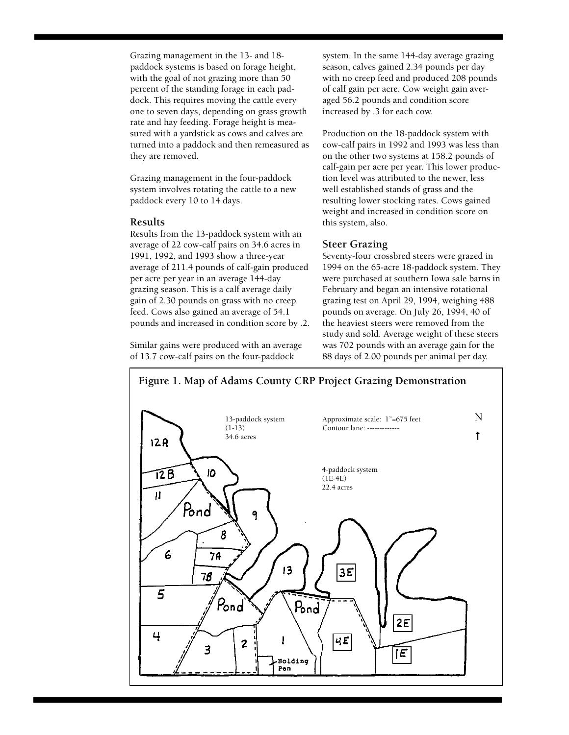Grazing management in the 13- and 18 paddock systems is based on forage height, with the goal of not grazing more than 50 percent of the standing forage in each paddock. This requires moving the cattle every one to seven days, depending on grass growth rate and hay feeding. Forage height is measured with a yardstick as cows and calves are turned into a paddock and then remeasured as they are removed.

Grazing management in the four-paddock system involves rotating the cattle to a new paddock every 10 to 14 days.

# **Results**

Results from the 13-paddock system with an average of 22 cow-calf pairs on 34.6 acres in 1991, 1992, and 1993 show a three-year average of 211.4 pounds of calf-gain produced per acre per year in an average 144-day grazing season. This is a calf average daily gain of 2.30 pounds on grass with no creep feed. Cows also gained an average of 54.1 pounds and increased in condition score by .2.

Similar gains were produced with an average of 13.7 cow-calf pairs on the four-paddock

system. In the same 144-day average grazing season, calves gained 2.34 pounds per day with no creep feed and produced 208 pounds of calf gain per acre. Cow weight gain averaged 56.2 pounds and condition score increased by .3 for each cow.

Production on the 18-paddock system with cow-calf pairs in 1992 and 1993 was less than on the other two systems at 158.2 pounds of calf-gain per acre per year. This lower production level was attributed to the newer, less well established stands of grass and the resulting lower stocking rates. Cows gained weight and increased in condition score on this system, also.

#### **Steer Grazing**

Seventy-four crossbred steers were grazed in 1994 on the 65-acre 18-paddock system. They were purchased at southern Iowa sale barns in February and began an intensive rotational grazing test on April 29, 1994, weighing 488 pounds on average. On July 26, 1994, 40 of the heaviest steers were removed from the study and sold. Average weight of these steers was 702 pounds with an average gain for the 88 days of 2.00 pounds per animal per day.

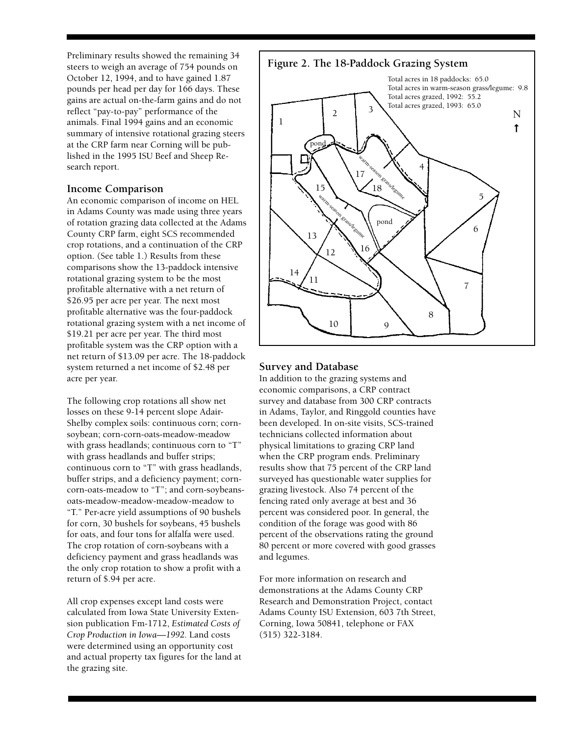Preliminary results showed the remaining 34 steers to weigh an average of 754 pounds on October 12, 1994, and to have gained 1.87 pounds per head per day for 166 days. These gains are actual on-the-farm gains and do not reflect "pay-to-pay" performance of the animals. Final 1994 gains and an economic summary of intensive rotational grazing steers at the CRP farm near Corning will be published in the 1995 ISU Beef and Sheep Research report.

# **Income Comparison**

An economic comparison of income on HEL in Adams County was made using three years of rotation grazing data collected at the Adams County CRP farm, eight SCS recommended crop rotations, and a continuation of the CRP option. (See table 1.) Results from these comparisons show the 13-paddock intensive rotational grazing system to be the most profitable alternative with a net return of \$26.95 per acre per year. The next most profitable alternative was the four-paddock rotational grazing system with a net income of \$19.21 per acre per year. The third most profitable system was the CRP option with a net return of \$13.09 per acre. The 18-paddock system returned a net income of \$2.48 per acre per year.

The following crop rotations all show net losses on these 9-14 percent slope Adair-Shelby complex soils: continuous corn; cornsoybean; corn-corn-oats-meadow-meadow with grass headlands; continuous corn to "T" with grass headlands and buffer strips; continuous corn to "T" with grass headlands, buffer strips, and a deficiency payment; corncorn-oats-meadow to "T"; and corn-soybeansoats-meadow-meadow-meadow-meadow to "T." Per-acre yield assumptions of 90 bushels for corn, 30 bushels for soybeans, 45 bushels for oats, and four tons for alfalfa were used. The crop rotation of corn-soybeans with a deficiency payment and grass headlands was the only crop rotation to show a profit with a return of \$.94 per acre.

All crop expenses except land costs were calculated from Iowa State University Extension publication Fm-1712, *Estimated Costs of Crop Production in Iowa—1992.* Land costs were determined using an opportunity cost and actual property tax figures for the land at the grazing site.



# **Survey and Database**

In addition to the grazing systems and economic comparisons, a CRP contract survey and database from 300 CRP contracts in Adams, Taylor, and Ringgold counties have been developed. In on-site visits, SCS-trained technicians collected information about physical limitations to grazing CRP land when the CRP program ends. Preliminary results show that 75 percent of the CRP land surveyed has questionable water supplies for grazing livestock. Also 74 percent of the fencing rated only average at best and 36 percent was considered poor. In general, the condition of the forage was good with 86 percent of the observations rating the ground 80 percent or more covered with good grasses and legumes.

For more information on research and demonstrations at the Adams County CRP Research and Demonstration Project, contact Adams County ISU Extension, 603 7th Street, Corning, Iowa 50841, telephone or FAX (515) 322-3184.